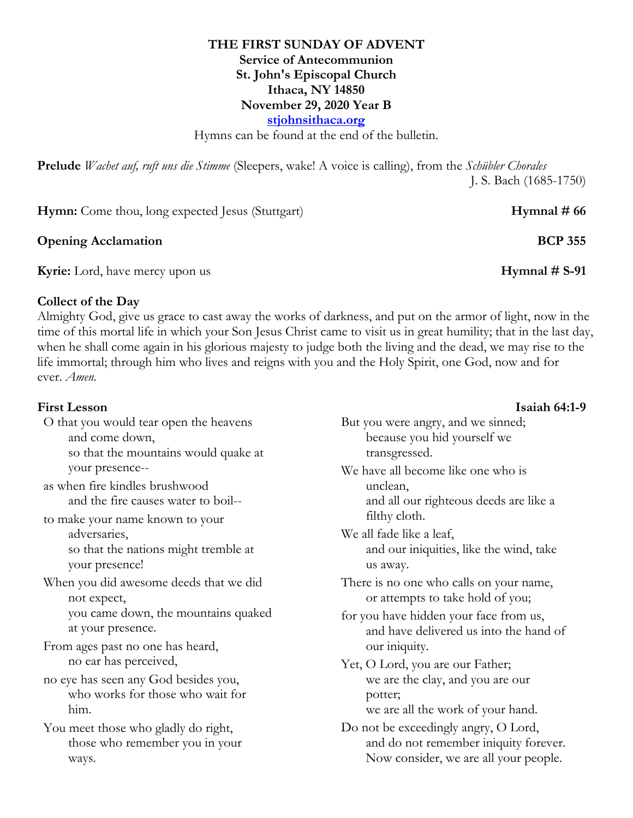### **THE FIRST SUNDAY OF ADVENT Service of Antecommunion St. John's Episcopal Church Ithaca, NY 14850 November 29, 2020 Year B stjohnsithaca.org**

Hymns can be found at the end of the bulletin.

**Prelude** *Wachet auf, ruft uns die Stimme* (Sleepers, wake! A voice is calling), from the *Schübler Chorales* J. S. Bach (1685-1750)

**Hymn:** Come thou, long expected Jesus (Stuttgart) **Hymnal # 66** 

### **Opening Acclamation BCP 355**

**Kyrie:** Lord, have mercy upon us **Hymnal # S-91** 

### **Collect of the Day**

Almighty God, give us grace to cast away the works of darkness, and put on the armor of light, now in the time of this mortal life in which your Son Jesus Christ came to visit us in great humility; that in the last day, when he shall come again in his glorious majesty to judge both the living and the dead, we may rise to the life immortal; through him who lives and reigns with you and the Holy Spirit, one God, now and for ever. *Amen.*

## **First Lesson Isaiah 64:1-9**

O that you would tear open the heavens and come down, so that the mountains would quake at your presence- as when fire kindles brushwood

and the fire causes water to boil--

to make your name known to your adversaries, so that the nations might tremble at

your presence!

When you did awesome deeds that we did not expect,

> you came down, the mountains quaked at your presence.

From ages past no one has heard, no ear has perceived,

no eye has seen any God besides you, who works for those who wait for him.

You meet those who gladly do right, those who remember you in your ways.

# But you were angry, and we sinned; because you hid yourself we transgressed. We have all become like one who is unclean, and all our righteous deeds are like a filthy cloth. We all fade like a leaf, and our iniquities, like the wind, take us away. There is no one who calls on your name, or attempts to take hold of you; for you have hidden your face from us, and have delivered us into the hand of

our iniquity. Yet, O Lord, you are our Father; we are the clay, and you are our potter; we are all the work of your hand.

Do not be exceedingly angry, O Lord, and do not remember iniquity forever. Now consider, we are all your people.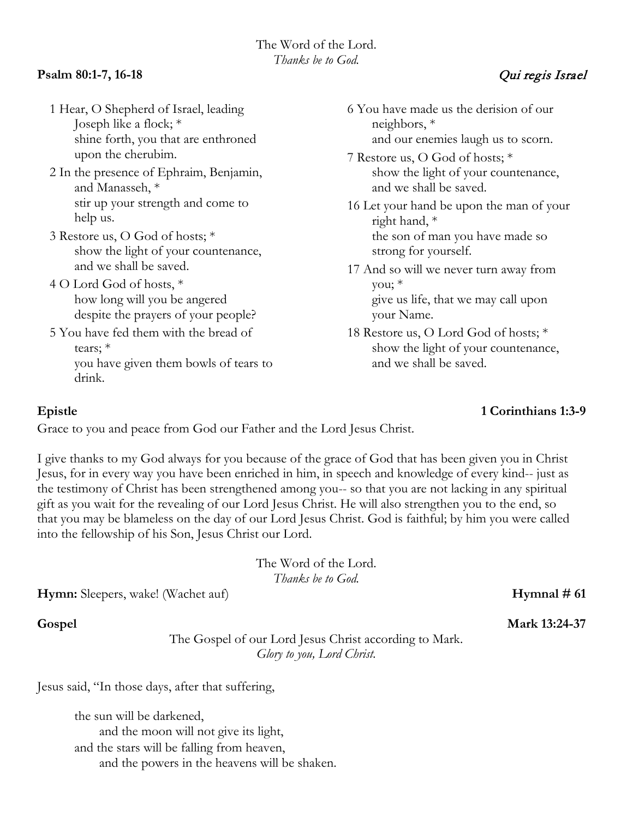### **Psalm 80:1-7, 16-18** Qui regis Israel

- 1 Hear, O Shepherd of Israel, leading Joseph like a flock; \* shine forth, you that are enthroned upon the cherubim.
- 2 In the presence of Ephraim, Benjamin, and Manasseh, \* stir up your strength and come to help us.
- 3 Restore us, O God of hosts; \* show the light of your countenance, and we shall be saved.
- 4 O Lord God of hosts, \* how long will you be angered despite the prayers of your people?
- 5 You have fed them with the bread of tears; \* you have given them bowls of tears to drink.
- 6 You have made us the derision of our neighbors, \* and our enemies laugh us to scorn. 7 Restore us, O God of hosts; \*
	- show the light of your countenance, and we shall be saved.
- 16 Let your hand be upon the man of your right hand, \* the son of man you have made so strong for yourself.
- 17 And so will we never turn away from you; \* give us life, that we may call upon your Name.
- 18 Restore us, O Lord God of hosts; \* show the light of your countenance, and we shall be saved.

Grace to you and peace from God our Father and the Lord Jesus Christ.

I give thanks to my God always for you because of the grace of God that has been given you in Christ Jesus, for in every way you have been enriched in him, in speech and knowledge of every kind-- just as the testimony of Christ has been strengthened among you-- so that you are not lacking in any spiritual gift as you wait for the revealing of our Lord Jesus Christ. He will also strengthen you to the end, so that you may be blameless on the day of our Lord Jesus Christ. God is faithful; by him you were called into the fellowship of his Son, Jesus Christ our Lord.

> The Word of the Lord. *Thanks be to God.*

**Hymn:** Sleepers, wake! (Wachet auf) **Hymnal # 61** 

The Gospel of our Lord Jesus Christ according to Mark. *Glory to you, Lord Christ.* 

Jesus said, "In those days, after that suffering,

the sun will be darkened, and the moon will not give its light, and the stars will be falling from heaven, and the powers in the heavens will be shaken.

## **Epistle 1 Corinthians 1:3-9**

**Gospel Mark 13:24-37**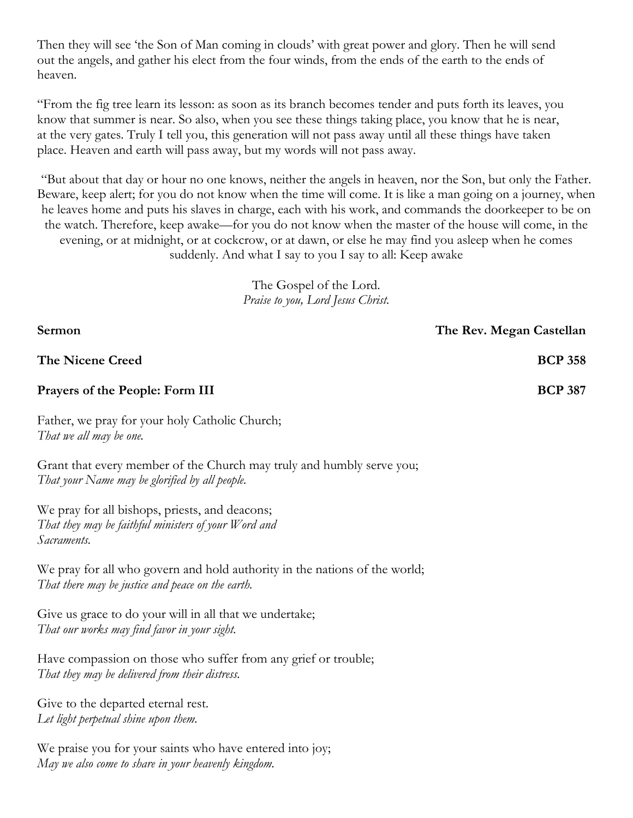Then they will see 'the Son of Man coming in clouds' with great power and glory. Then he will send out the angels, and gather his elect from the four winds, from the ends of the earth to the ends of heaven.

"From the fig tree learn its lesson: as soon as its branch becomes tender and puts forth its leaves, you know that summer is near. So also, when you see these things taking place, you know that he is near, at the very gates. Truly I tell you, this generation will not pass away until all these things have taken place. Heaven and earth will pass away, but my words will not pass away.

"But about that day or hour no one knows, neither the angels in heaven, nor the Son, but only the Father. Beware, keep alert; for you do not know when the time will come. It is like a man going on a journey, when he leaves home and puts his slaves in charge, each with his work, and commands the doorkeeper to be on the watch. Therefore, keep awake—for you do not know when the master of the house will come, in the evening, or at midnight, or at cockcrow, or at dawn, or else he may find you asleep when he comes suddenly. And what I say to you I say to all: Keep awake

> The Gospel of the Lord. *Praise to you, Lord Jesus Christ.*

| Sermon                                 | The Rev. Megan Castellan |
|----------------------------------------|--------------------------|
| The Nicene Creed                       | <b>BCP 358</b>           |
| <b>Prayers of the People: Form III</b> | <b>BCP 387</b>           |

Father, we pray for your holy Catholic Church; *That we all may be one.*

Grant that every member of the Church may truly and humbly serve you; *That your Name may be glorified by all people.*

We pray for all bishops, priests, and deacons; *That they may be faithful ministers of your Word and Sacraments.*

We pray for all who govern and hold authority in the nations of the world; *That there may be justice and peace on the earth.*

Give us grace to do your will in all that we undertake; *That our works may find favor in your sight.*

Have compassion on those who suffer from any grief or trouble; *That they may be delivered from their distress.*

Give to the departed eternal rest. *Let light perpetual shine upon them.*

We praise you for your saints who have entered into joy; *May we also come to share in your heavenly kingdom.*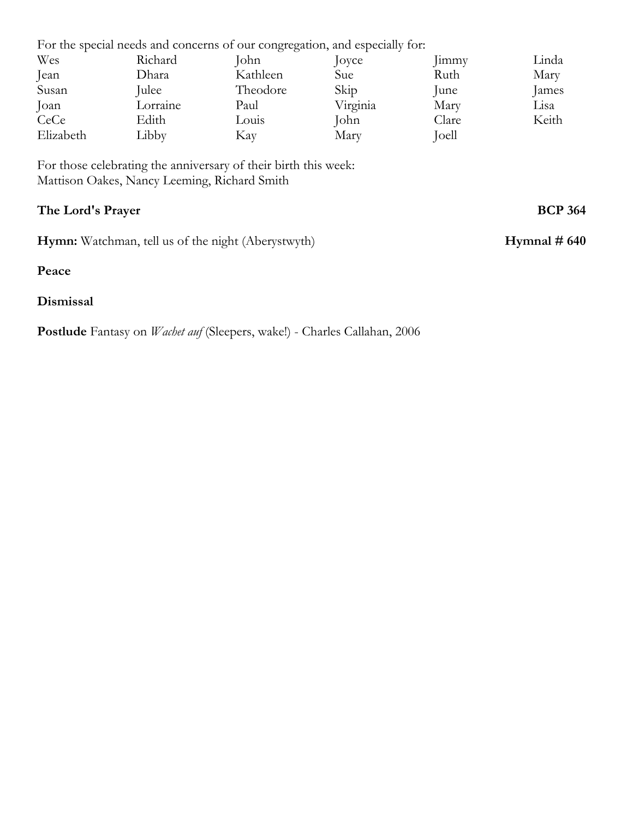|                                                           |                                              | For the special needs and concerns of our congregation, and especially for: |          |       |                 |
|-----------------------------------------------------------|----------------------------------------------|-----------------------------------------------------------------------------|----------|-------|-----------------|
| Wes                                                       | Richard                                      | John                                                                        | Joyce    | Jimmy | Linda           |
| Jean                                                      | Dhara                                        | Kathleen                                                                    | Sue      | Ruth  | Mary            |
| Susan                                                     | Julee                                        | Theodore                                                                    | Skip     | June  | James           |
| Joan                                                      | Lorraine                                     | Paul                                                                        | Virginia | Mary  | Lisa            |
| CeCe                                                      | Edith                                        | Louis                                                                       | John     | Clare | Keith           |
| Elizabeth                                                 | Libby                                        | Kay                                                                         | Mary     | Joell |                 |
| The Lord's Prayer                                         | Mattison Oakes, Nancy Leeming, Richard Smith | For those celebrating the anniversary of their birth this week:             |          |       | <b>BCP 364</b>  |
| <b>Hymn:</b> Watchman, tell us of the night (Aberystwyth) |                                              |                                                                             |          |       | Hymnal $\#$ 640 |
| Peace                                                     |                                              |                                                                             |          |       |                 |

**Dismissal** 

**Postlude** Fantasy on *Wachet auf* (Sleepers, wake!) - Charles Callahan, 2006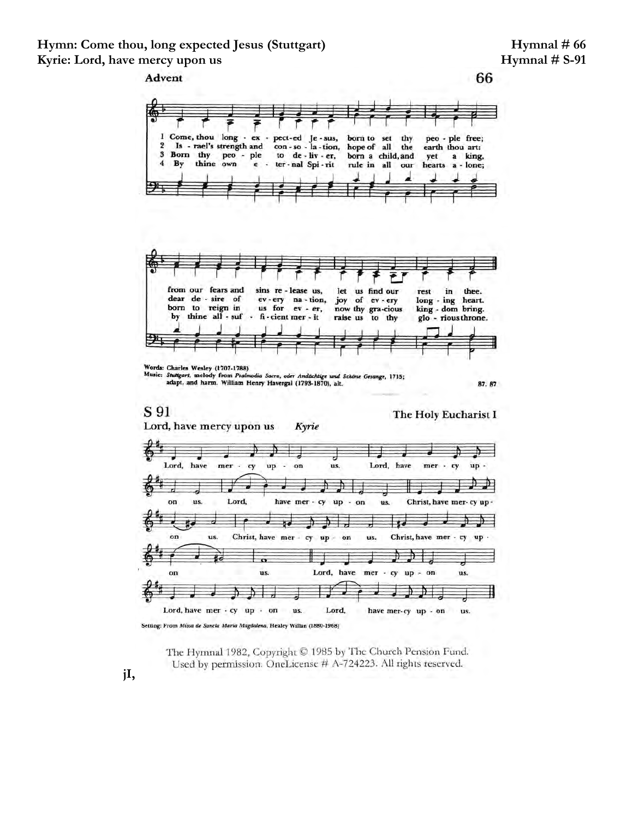# **Hymn:** Come thou, long expected Jesus (Stuttgart) **Hymnal #** 66<br> **Kyrie:** Lord, have mercy upon us **Hymnal #** S-91 Kyrie: Lord, have mercy upon us





The Hymnal 1982, Copyright © 1985 by The Church Pension Fund. Used by permission. OneLicense # A-724223. All rights reserved.

**jI,**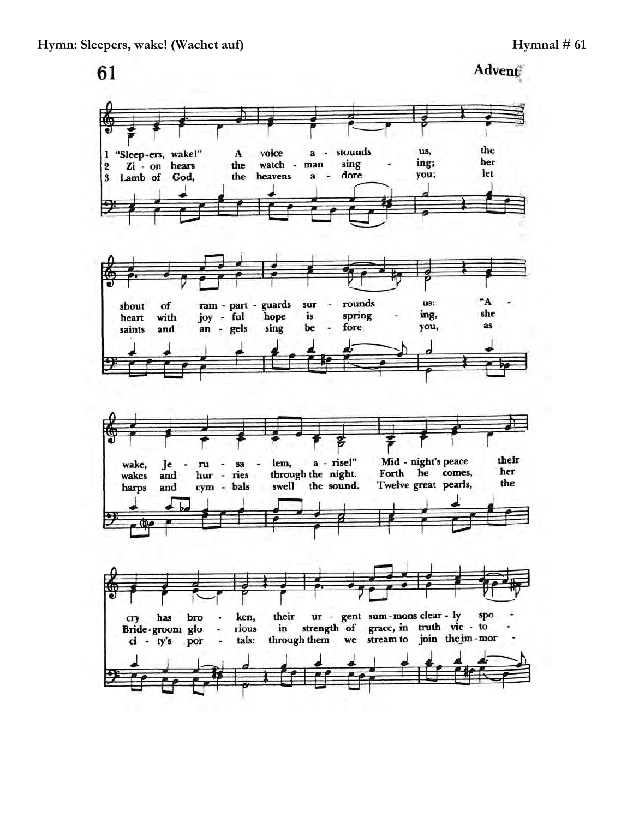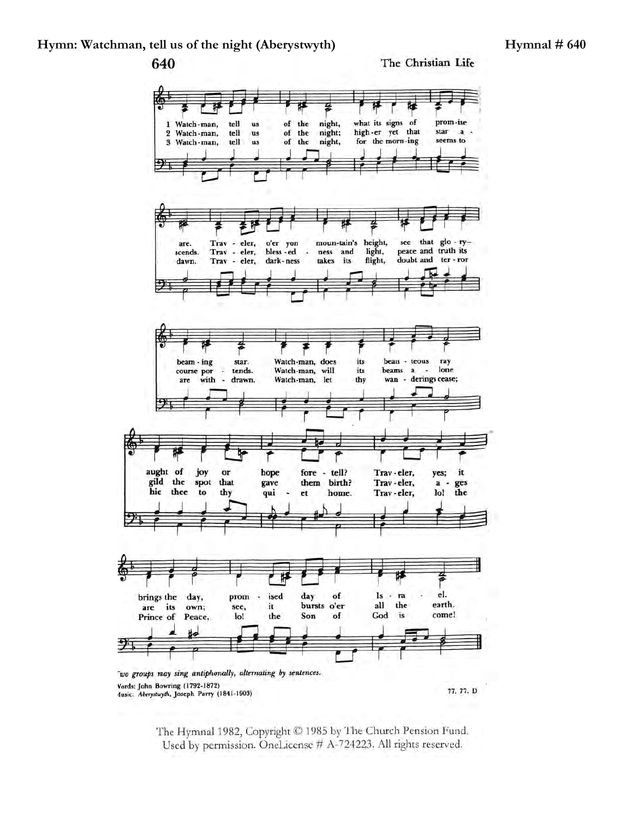### **Hymn: Watchman, tell us of the night (Aberystwyth) <b>Hymnal #** 640



The Hymnal 1982, Copyright © 1985 by The Church Pension Fund. Used by permission. OneLicense # A-724223. All rights reserved.